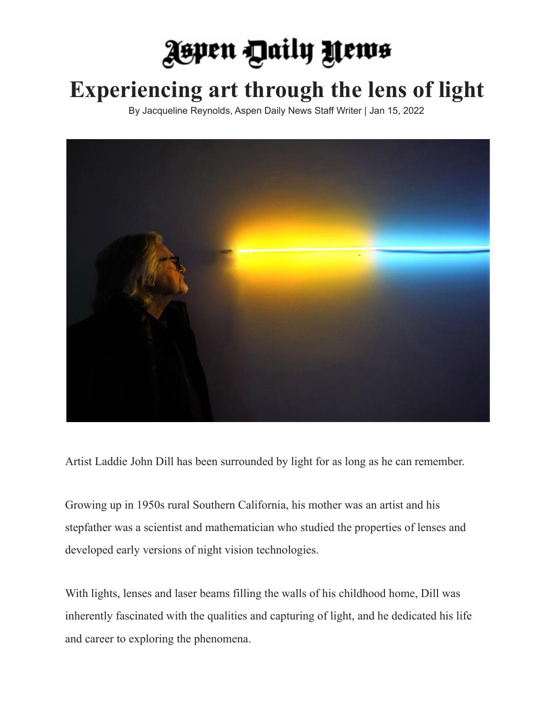## **Jepen Daily Yews**

## **Experiencing art through the lens of light**

By Jacqueline Reynolds, Aspen Daily News Staff Writer | Jan 15, 2022



Artist Laddie John Dill has been surrounded by light for as long as he can remember.

Growing up in 1950s rural Southern California, his mother was an artist and his stepfather was a scientist and mathematician who studied the properties of lenses and developed early versions of night vision technologies.

With lights, lenses and laser beams filling the walls of his childhood home, Dill was inherently fascinated with the qualities and capturing of light, and he dedicated his life and career to exploring the phenomena.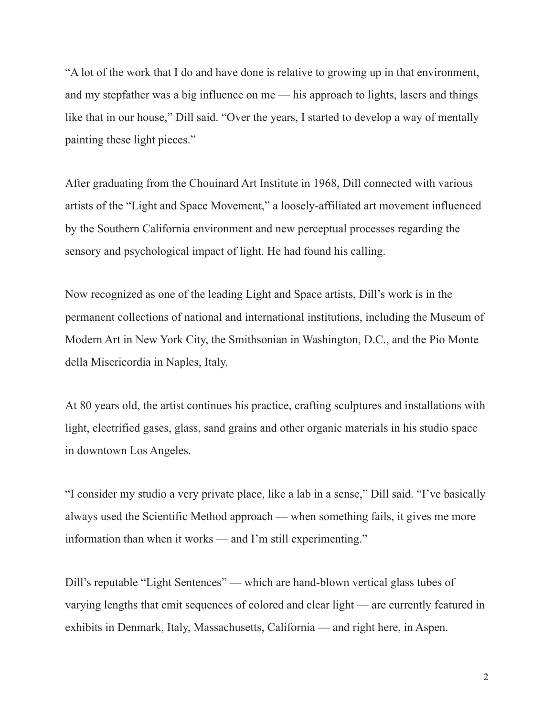"A lot of the work that I do and have done is relative to growing up in that environment, and my stepfather was a big influence on me — his approach to lights, lasers and things like that in our house," Dill said. "Over the years, I started to develop a way of mentally painting these light pieces."

After graduating from the Chouinard Art Institute in 1968, Dill connected with various artists of the "Light and Space Movement," a loosely-affiliated art movement influenced by the Southern California environment and new perceptual processes regarding the sensory and psychological impact of light. He had found his calling.

Now recognized as one of the leading Light and Space artists, Dill's work is in the permanent collections of national and international institutions, including the Museum of Modern Art in New York City, the Smithsonian in Washington, D.C., and the Pio Monte della Misericordia in Naples, Italy.

At 80 years old, the artist continues his practice, crafting sculptures and installations with light, electrified gases, glass, sand grains and other organic materials in his studio space in downtown Los Angeles.

"I consider my studio a very private place, like a lab in a sense," Dill said. "I've basically always used the Scientific Method approach — when something fails, it gives me more information than when it works — and I'm still experimenting."

Dill's reputable "Light Sentences" — which are hand-blown vertical glass tubes of varying lengths that emit sequences of colored and clear light — are currently featured in exhibits in Denmark, Italy, Massachusetts, California — and right here, in Aspen.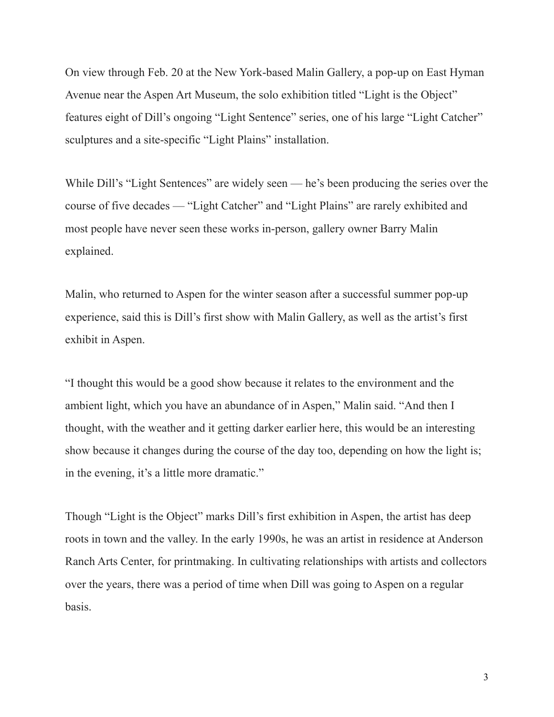On view through Feb. 20 at the New York-based Malin Gallery, a pop-up on East Hyman Avenue near the Aspen Art Museum, the solo exhibition titled "Light is the Object" features eight of Dill's ongoing "Light Sentence" series, one of his large "Light Catcher" sculptures and a site-specific "Light Plains" installation.

While Dill's "Light Sentences" are widely seen — he's been producing the series over the course of five decades — "Light Catcher" and "Light Plains" are rarely exhibited and most people have never seen these works in-person, gallery owner Barry Malin explained.

Malin, who returned to Aspen for the winter season after a successful summer pop-up experience, said this is Dill's first show with Malin Gallery, as well as the artist's first exhibit in Aspen.

"I thought this would be a good show because it relates to the environment and the ambient light, which you have an abundance of in Aspen," Malin said. "And then I thought, with the weather and it getting darker earlier here, this would be an interesting show because it changes during the course of the day too, depending on how the light is; in the evening, it's a little more dramatic."

Though "Light is the Object" marks Dill's first exhibition in Aspen, the artist has deep roots in town and the valley. In the early 1990s, he was an artist in residence at Anderson Ranch Arts Center, for printmaking. In cultivating relationships with artists and collectors over the years, there was a period of time when Dill was going to Aspen on a regular basis.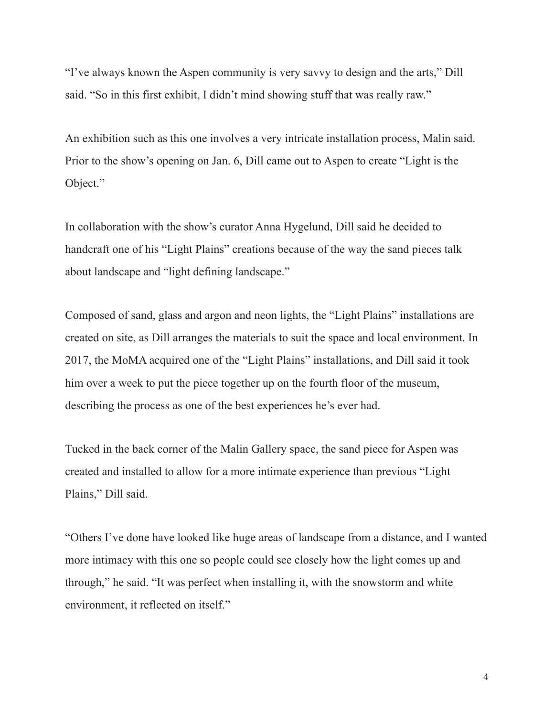"I've always known the Aspen community is very savvy to design and the arts," Dill said. "So in this first exhibit, I didn't mind showing stuff that was really raw."

An exhibition such as this one involves a very intricate installation process, Malin said. Prior to the show's opening on Jan. 6, Dill came out to Aspen to create "Light is the Object."

In collaboration with the show's curator Anna Hygelund, Dill said he decided to handcraft one of his "Light Plains" creations because of the way the sand pieces talk about landscape and "light defining landscape."

Composed of sand, glass and argon and neon lights, the "Light Plains" installations are created on site, as Dill arranges the materials to suit the space and local environment. In 2017, the MoMA acquired one of the "Light Plains" installations, and Dill said it took him over a week to put the piece together up on the fourth floor of the museum, describing the process as one of the best experiences he's ever had.

Tucked in the back corner of the Malin Gallery space, the sand piece for Aspen was created and installed to allow for a more intimate experience than previous "Light Plains," Dill said.

"Others I've done have looked like huge areas of landscape from a distance, and I wanted more intimacy with this one so people could see closely how the light comes up and through," he said. "It was perfect when installing it, with the snowstorm and white environment, it reflected on itself."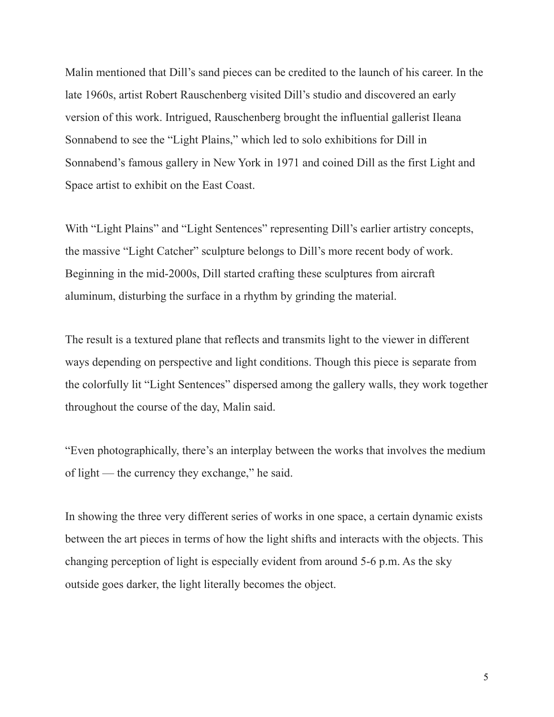Malin mentioned that Dill's sand pieces can be credited to the launch of his career. In the late 1960s, artist Robert Rauschenberg visited Dill's studio and discovered an early version of this work. Intrigued, Rauschenberg brought the influential gallerist Ileana Sonnabend to see the "Light Plains," which led to solo exhibitions for Dill in Sonnabend's famous gallery in New York in 1971 and coined Dill as the first Light and Space artist to exhibit on the East Coast.

With "Light Plains" and "Light Sentences" representing Dill's earlier artistry concepts, the massive "Light Catcher" sculpture belongs to Dill's more recent body of work. Beginning in the mid-2000s, Dill started crafting these sculptures from aircraft aluminum, disturbing the surface in a rhythm by grinding the material.

The result is a textured plane that reflects and transmits light to the viewer in different ways depending on perspective and light conditions. Though this piece is separate from the colorfully lit "Light Sentences" dispersed among the gallery walls, they work together throughout the course of the day, Malin said.

"Even photographically, there's an interplay between the works that involves the medium of light — the currency they exchange," he said.

In showing the three very different series of works in one space, a certain dynamic exists between the art pieces in terms of how the light shifts and interacts with the objects. This changing perception of light is especially evident from around 5-6 p.m. As the sky outside goes darker, the light literally becomes the object.